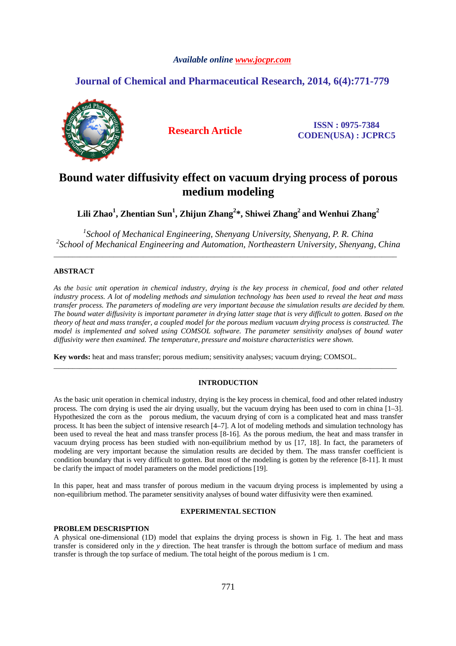# *Available online www.jocpr.com*

# **Journal of Chemical and Pharmaceutical Research, 2014, 6(4):771-779**



**Research Article ISSN : 0975-7384 CODEN(USA) : JCPRC5**

# **Bound water diffusivity effect on vacuum drying process of porous medium modeling**

 $\mathbf{Lili Zhao}^1, \mathbf{Zhentian Sun}^1, \mathbf{Zhijun Zhang}^{2*}, \mathbf{Shiwei Zhang}^{2}$  and Wenhui  $\mathbf{Zhang}^{2}$ 

<sup>1</sup> School of Mechanical Engineering, Shenyang University, Shenyang, P. R. China *2 School of Mechanical Engineering and Automation, Northeastern University, Shenyang, China* 

\_\_\_\_\_\_\_\_\_\_\_\_\_\_\_\_\_\_\_\_\_\_\_\_\_\_\_\_\_\_\_\_\_\_\_\_\_\_\_\_\_\_\_\_\_\_\_\_\_\_\_\_\_\_\_\_\_\_\_\_\_\_\_\_\_\_\_\_\_\_\_\_\_\_\_\_\_\_\_\_\_\_\_\_\_\_\_\_\_\_\_\_

# **ABSTRACT**

*As the basic unit operation in chemical industry, drying is the key process in chemical, food and other related industry process. A lot of modeling methods and simulation technology has been used to reveal the heat and mass transfer process. The parameters of modeling are very important because the simulation results are decided by them. The bound water diffusivity is important parameter in drying latter stage that is very difficult to gotten. Based on the theory of heat and mass transfer, a coupled model for the porous medium vacuum drying process is constructed. The model is implemented and solved using COMSOL software. The parameter sensitivity analyses of bound water diffusivity were then examined. The temperature, pressure and moisture characteristics were shown.* 

**Key words:** heat and mass transfer; porous medium; sensitivity analyses; vacuum drying; COMSOL.

# **INTRODUCTION**

\_\_\_\_\_\_\_\_\_\_\_\_\_\_\_\_\_\_\_\_\_\_\_\_\_\_\_\_\_\_\_\_\_\_\_\_\_\_\_\_\_\_\_\_\_\_\_\_\_\_\_\_\_\_\_\_\_\_\_\_\_\_\_\_\_\_\_\_\_\_\_\_\_\_\_\_\_\_\_\_\_\_\_\_\_\_\_\_\_\_\_\_

As the basic unit operation in chemical industry, drying is the key process in chemical, food and other related industry process. The corn drying is used the air drying usually, but the vacuum drying has been used to corn in china [1–3]. Hypothesized the corn as the porous medium, the vacuum drying of corn is a complicated heat and mass transfer process. It has been the subject of intensive research [4–7]. A lot of modeling methods and simulation technology has been used to reveal the heat and mass transfer process [8-16]. As the porous medium, the heat and mass transfer in vacuum drying process has been studied with non-equilibrium method by us [17, 18]. In fact, the parameters of modeling are very important because the simulation results are decided by them. The mass transfer coefficient is condition boundary that is very difficult to gotten. But most of the modeling is gotten by the reference [8-11]. It must be clarify the impact of model parameters on the model predictions [19].

In this paper, heat and mass transfer of porous medium in the vacuum drying process is implemented by using a non-equilibrium method. The parameter sensitivity analyses of bound water diffusivity were then examined.

# **EXPERIMENTAL SECTION**

## **PROBLEM DESCRISPTION**

A physical one-dimensional (1D) model that explains the drying process is shown in Fig. 1. The heat and mass transfer is considered only in the *y* direction. The heat transfer is through the bottom surface of medium and mass transfer is through the top surface of medium. The total height of the porous medium is 1 cm.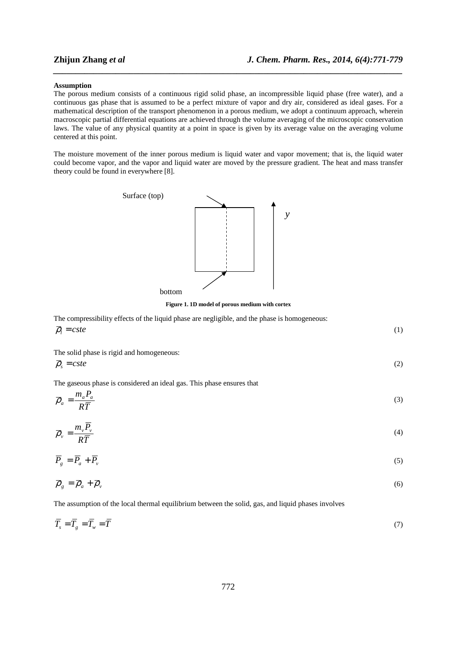#### **Assumption**

The porous medium consists of a continuous rigid solid phase, an incompressible liquid phase (free water), and a continuous gas phase that is assumed to be a perfect mixture of vapor and dry air, considered as ideal gases. For a mathematical description of the transport phenomenon in a porous medium, we adopt a continuum approach, wherein macroscopic partial differential equations are achieved through the volume averaging of the microscopic conservation laws. The value of any physical quantity at a point in space is given by its average value on the averaging volume centered at this point.

*\_\_\_\_\_\_\_\_\_\_\_\_\_\_\_\_\_\_\_\_\_\_\_\_\_\_\_\_\_\_\_\_\_\_\_\_\_\_\_\_\_\_\_\_\_\_\_\_\_\_\_\_\_\_\_\_\_\_\_\_\_\_\_\_\_\_\_\_\_\_\_\_\_\_\_\_\_\_*

The moisture movement of the inner porous medium is liquid water and vapor movement; that is, the liquid water could become vapor, and the vapor and liquid water are moved by the pressure gradient. The heat and mass transfer theory could be found in everywhere [8].



**Figure 1. 1D model of porous medium with cortex** 

| The compressibility effects of the liquid phase are negligible, and the phase is homogeneous: |  |
|-----------------------------------------------------------------------------------------------|--|
| $\overline{\rho}_i = cste$                                                                    |  |

The solid phase is rigid and homogeneous:

$$
\overline{\rho}_s = cste \tag{2}
$$

The gaseous phase is considered an ideal gas. This phase ensures that

$$
\overline{\rho}_a = \frac{m_a P_a}{R\overline{T}}\tag{3}
$$

$$
\overline{\rho}_{\nu} = \frac{m_{\nu}\overline{P}_{\nu}}{R\overline{T}} \tag{4}
$$

$$
\overline{P}_g = \overline{P}_a + \overline{P}_v \tag{5}
$$

$$
\overline{\rho}_g = \overline{\rho}_a + \overline{\rho}_v \tag{6}
$$

The assumption of the local thermal equilibrium between the solid, gas, and liquid phases involves

$$
\overline{T}_s = \overline{T}_s = \overline{T}_w = \overline{T}
$$
\n(7)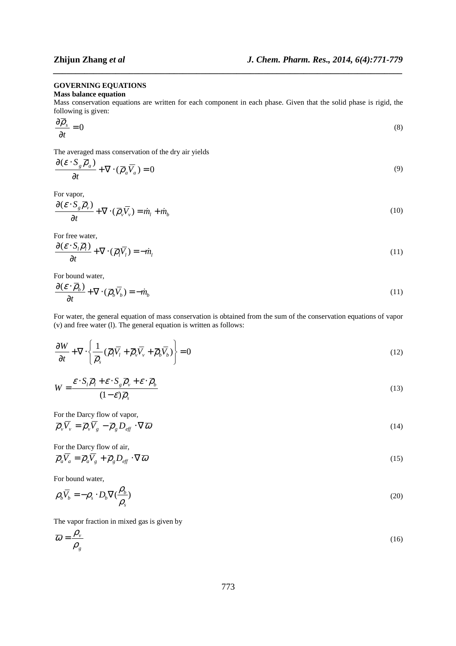#### **GOVERNING EQUATIONS**

## **Mass balance equation**

Mass conservation equations are written for each component in each phase. Given that the solid phase is rigid, the following is given:

*\_\_\_\_\_\_\_\_\_\_\_\_\_\_\_\_\_\_\_\_\_\_\_\_\_\_\_\_\_\_\_\_\_\_\_\_\_\_\_\_\_\_\_\_\_\_\_\_\_\_\_\_\_\_\_\_\_\_\_\_\_\_\_\_\_\_\_\_\_\_\_\_\_\_\_\_\_\_*

$$
\frac{\partial \overline{\rho}_s}{\partial t} = 0 \tag{8}
$$

The averaged mass conservation of the dry air yields

$$
\frac{\partial (\varepsilon \cdot S_g \overline{\rho}_a)}{\partial t} + \nabla \cdot (\overline{\rho}_a \overline{V}_a) = 0
$$
\n(9)

For vapor,

$$
\frac{\partial (\varepsilon \cdot S_g \overline{\rho}_v)}{\partial t} + \nabla \cdot (\overline{\rho}_v \overline{V}_v) = \dot{m}_l + \dot{m}_b \tag{10}
$$

For free water,

$$
\frac{\partial (\varepsilon \cdot S_l \overline{\rho}_l)}{\partial t} + \nabla \cdot (\overline{\rho}_l \overline{V}_l) = -\dot{m}_l \tag{11}
$$

For bound water,

$$
\frac{\partial(\mathcal{E}\cdot\overline{\rho}_b)}{\partial t} + \nabla\cdot(\overline{\rho}_b\overline{V}_b) = -\dot{m}_b
$$
\n(11)

For water, the general equation of mass conservation is obtained from the sum of the conservation equations of vapor (v) and free water (l). The general equation is written as follows:

$$
\frac{\partial W}{\partial t} + \nabla \cdot \left\{ \frac{1}{\overline{\rho}_s} (\overline{\rho}_l \overline{V}_l + \overline{\rho}_v \overline{V}_v + \overline{\rho}_b \overline{V}_b) \right\} = 0
$$
\n(12)

$$
W = \frac{\mathcal{E} \cdot S_l \overline{\rho}_l + \mathcal{E} \cdot S_g \overline{\rho}_v + \mathcal{E} \cdot \overline{\rho}_b}{(1 - \mathcal{E}) \overline{\rho}_s}
$$
(13)

For the Darcy flow of vapor,

$$
\overline{\rho}_{\nu}\overline{V}_{\nu} = \overline{\rho}_{\nu}\overline{V}_{g} - \overline{\rho}_{g}D_{\text{eff}} \cdot \nabla \overline{\omega}
$$
\n(14)

For the Darcy flow of air,

$$
\overline{\rho}_a \overline{V}_a = \overline{\rho}_a \overline{V}_g + \overline{\rho}_g D_{\text{eff}} \cdot \nabla \overline{\omega}
$$
\n(15)

For bound water,

$$
\rho_b \overline{V}_b = -\rho_s \cdot D_b \nabla (\frac{\rho_b}{\rho_s})
$$
\n(20)

The vapor fraction in mixed gas is given by

$$
\overline{\omega} = \frac{\rho_v}{\rho_g} \tag{16}
$$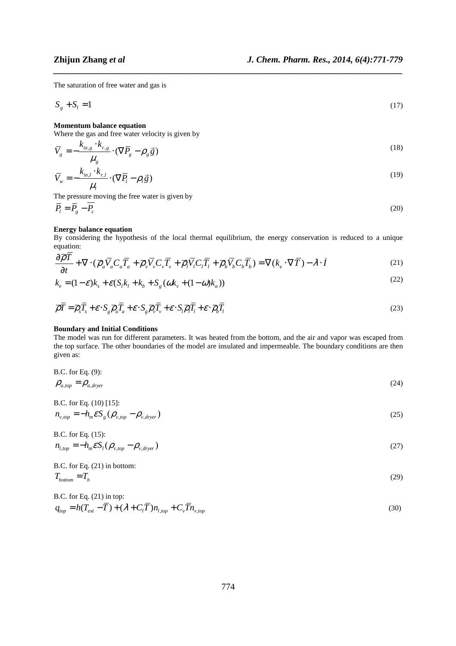The saturation of free water and gas is

$$
S_g + S_l = 1 \tag{17}
$$

*\_\_\_\_\_\_\_\_\_\_\_\_\_\_\_\_\_\_\_\_\_\_\_\_\_\_\_\_\_\_\_\_\_\_\_\_\_\_\_\_\_\_\_\_\_\_\_\_\_\_\_\_\_\_\_\_\_\_\_\_\_\_\_\_\_\_\_\_\_\_\_\_\_\_\_\_\_\_*

# **Momentum balance equation**

Where the gas and free water velocity is given by

$$
\overline{V}_g = -\frac{k_{m,g} \cdot k_{r,g}}{\mu_g} \cdot (\nabla \overline{P}_g - \rho_g \overline{g})
$$
\n
$$
\overline{V}_w = -\frac{k_{m,l} \cdot k_{r,l}}{\mu_l} \cdot (\nabla \overline{P}_l - \rho_l \overline{g})
$$
\n(19)

The pressure moving the free water is given by

$$
\overline{P}_l = \overline{P}_g - \overline{P}_c \tag{20}
$$

# **Energy balance equation**

By considering the hypothesis of the local thermal equilibrium, the energy conservation is reduced to a unique equation:

$$
\frac{\partial \overline{\rho}T}{\partial t} + \nabla \cdot (\overline{\rho}_a \overline{V}_a C_a \overline{T}_a + \overline{\rho}_v \overline{V}_v C_v \overline{T}_v + \overline{\rho}_l \overline{V}_l C_l \overline{T}_l + \overline{\rho}_b \overline{V}_b C_b \overline{T}_b) = \nabla (k_e \cdot \nabla \overline{T}) - \lambda \cdot \dot{I}
$$
\n(21)

$$
k_e = (1 - \varepsilon)k_s + \varepsilon (S_l k_l + k_b + S_g(\omega k_v + (1 - \omega)k_a))
$$
\n<sup>(22)</sup>

$$
\overline{\rho}\overline{T} = \overline{\rho}_s \overline{T}_s + \varepsilon \cdot S_g \overline{\rho}_a \overline{T}_a + \varepsilon \cdot S_g \overline{\rho}_v \overline{T}_v + \varepsilon \cdot S_l \overline{\rho}_l \overline{T}_l + \varepsilon \cdot \overline{\rho}_b \overline{T}_l
$$
\n(23)

#### **Boundary and Initial Conditions**

The model was run for different parameters. It was heated from the bottom, and the air and vapor was escaped from the top surface. The other boundaries of the model are insulated and impermeable. The boundary conditions are then given as:

B.C. for Eq. 
$$
(9)
$$
:

$$
\rho_{a, top} = \rho_{a, dryer} \tag{24}
$$

B.C. for Eq. (10) [15]:  
\n
$$
n_{v,top} = -h_m \mathcal{E} S_g (\rho_{v,top} - \rho_{v,dryer})
$$
\n(25)

B.C. for Eq. (15):  
\n
$$
n_{l,top} = -h_m \mathcal{E} S_l (\rho_{v,top} - \rho_{v,dryer})
$$
\n(27)

B.C. for Eq. (21) in bottom:

$$
T_{bottom} = T_h
$$
\n
$$
B.C. for Eq. (21) in top:
$$
\n
$$
T_{bottom} = T_h
$$
\n
$$
T_{bottom} = T_h
$$
\n
$$
T_{bottom} = T_h
$$
\n
$$
T_{bottom} = T_h
$$

$$
q_{top} = h(T_{ext} - \overline{T}) + (\lambda + C_l \overline{T}) n_{l,top} + C_v \overline{T} n_{v,top}
$$
\n(30)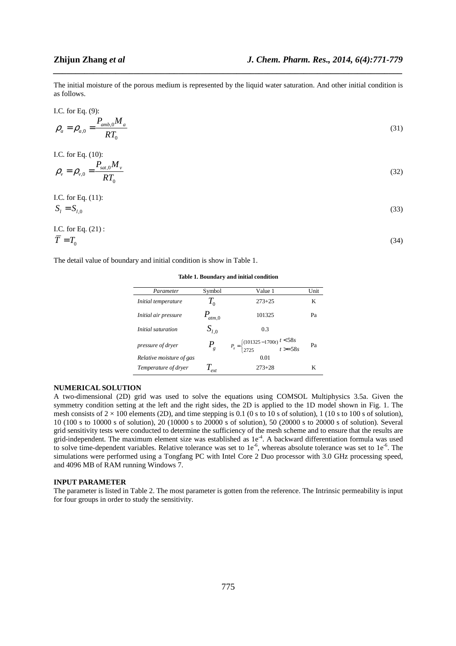(34)

The initial moisture of the porous medium is represented by the liquid water saturation. And other initial condition is as follows.

*\_\_\_\_\_\_\_\_\_\_\_\_\_\_\_\_\_\_\_\_\_\_\_\_\_\_\_\_\_\_\_\_\_\_\_\_\_\_\_\_\_\_\_\_\_\_\_\_\_\_\_\_\_\_\_\_\_\_\_\_\_\_\_\_\_\_\_\_\_\_\_\_\_\_\_\_\_\_*

I.C. for Eq. (9):

$$
\rho_a = \rho_{a,0} = \frac{P_{amb,0} M_a}{RT_0} \tag{31}
$$

I.C. for Eq. (10):

$$
\rho_{\nu} = \rho_{\nu,0} = \frac{P_{sat,0}M_{\nu}}{RT_0}
$$
\n(32)

I.C. for Eq. (11):

$$
S_l = S_{l,0}
$$
\n
$$
\text{I.C. for Eq. (21):}
$$
\n
$$
\text{(33)}
$$

$$
\overline{T} = T_0
$$

The detail value of boundary and initial condition is show in Table 1.

**Table 1. Boundary and initial condition** 

| Parameter                  | Symbol                     | Value 1                                                                          | Unit |
|----------------------------|----------------------------|----------------------------------------------------------------------------------|------|
| <i>Initial temperature</i> | $T_{\scriptscriptstyle 0}$ | $273 + 25$                                                                       | K    |
| Initial air pressure       | $P_{atm,0}$                | 101325                                                                           | Pa   |
| Initial saturation         | $S_{l,0}$                  | 0.3                                                                              |      |
| pressure of dryer          | $P_{g}$                    | $P_s = \begin{cases} (101325 - 1700t) \ t < 58s \\ 2725 \ t > = 58s \end{cases}$ | Pa   |
| Relative moisture of gas   |                            | 0.01                                                                             |      |
| Temperature of dryer       | $\mathbf{I}_{ext}$         | $273 + 28$                                                                       | K    |

#### **NUMERICAL SOLUTION**

A two-dimensional (2D) grid was used to solve the equations using COMSOL Multiphysics 3.5a. Given the symmetry condition setting at the left and the right sides, the 2D is applied to the 1D model shown in Fig. 1. The mesh consists of  $2 \times 100$  elements (2D), and time stepping is 0.1 (0 s to 10 s of solution), 1 (10 s to 100 s of solution), 10 (100 s to 10000 s of solution), 20 (10000 s to 20000 s of solution), 50 (20000 s to 20000 s of solution). Several grid sensitivity tests were conducted to determine the sufficiency of the mesh scheme and to ensure that the results are grid-independent. The maximum element size was established as  $1e<sup>-4</sup>$ . A backward differentiation formula was used to solve time-dependent variables. Relative tolerance was set to  $1e^{-6}$ , whereas absolute tolerance was set to  $1e^{-6}$ . The simulations were performed using a Tongfang PC with Intel Core 2 Duo processor with 3.0 GHz processing speed, and 4096 MB of RAM running Windows 7.

## **INPUT PARAMETER**

The parameter is listed in Table 2. The most parameter is gotten from the reference. The Intrinsic permeability is input for four groups in order to study the sensitivity.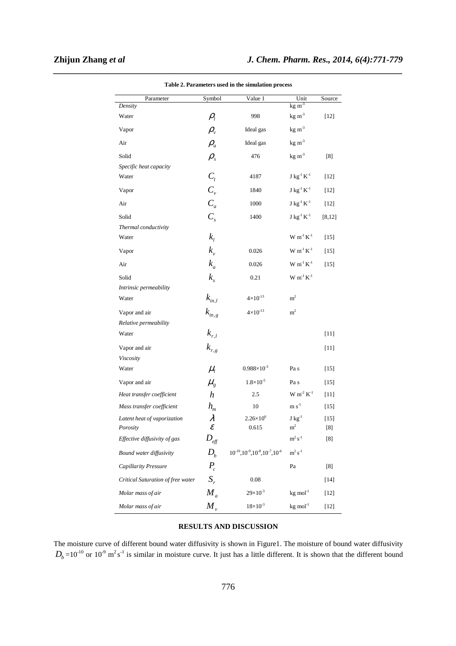| Parameter                         | Symbol                         | Value 1                                        | Unit                                                           | Source   |
|-----------------------------------|--------------------------------|------------------------------------------------|----------------------------------------------------------------|----------|
| Density                           |                                |                                                | $kg \, \text{m}^{-3}$                                          |          |
| Water                             | $\rho_{\scriptscriptstyle l}$  | 998                                            | $kg \, m-3$                                                    | $[12]$   |
| Vapor                             | $\rho_{\rm v}$                 | Ideal gas                                      | $kg \, m-3$                                                    |          |
| Air                               | $\rho_{_a}$                    | Ideal gas                                      | $kg \, \text{m}^{-3}$                                          |          |
| Solid                             | $\rho_{\scriptscriptstyle s}$  | 476                                            | $kg \, m-3$                                                    | [8]      |
| Specific heat capacity            |                                |                                                |                                                                |          |
| Water                             | $C_i$                          | 4187                                           | $J kg^{-1} K^{-1}$                                             | $[12]$   |
| Vapor                             | $C_{\nu}$                      | 1840                                           | $J kg^{-1} K^{-1}$                                             | $[12]$   |
| Air                               | $C_a$                          | 1000                                           | $J kg^{-1} K^{-1}$                                             | $[12]$   |
| Solid                             | $C_{s}$                        | 1400                                           | $J kg^{-1} K^{-1}$                                             | [8, 12]  |
| Thermal conductivity              |                                |                                                |                                                                |          |
| Water                             | $k_{i}$                        |                                                | $W m-1 K-1$                                                    | $[15]$   |
| Vapor                             | $k_{v}$                        | 0.026                                          | $W m-1 K-1$                                                    | $[15]$   |
| Air                               | $k_a$                          | 0.026                                          | $W m^{-1} K^{-1}$                                              | $[15]$   |
| Solid                             | $k_{\rm s}$                    | 0.21                                           | $\mathbf{W} \text{ m}^{\text{-}1} \text{ K}^{\text{-}1}$       |          |
| Intrinsic permeability            |                                |                                                |                                                                |          |
| Water                             | $k_{in,l}$                     | $4 \times 10^{-13}$                            | m <sup>2</sup>                                                 |          |
| Vapor and air                     | $k_{\scriptscriptstyle in, g}$ | $4{\times}10^{\text{-}13}$                     | m <sup>2</sup>                                                 |          |
| Relative permeability             |                                |                                                |                                                                |          |
| Water                             | $k_{r,l}$                      |                                                |                                                                | $[11]$   |
| Vapor and air                     | $k_{\scriptscriptstyle r,g}$   |                                                |                                                                | $[11]$   |
| Viscosity                         |                                |                                                |                                                                |          |
| Water                             | $\mu_{i}$                      | $0.988\times10^{-3}$                           | Pa s                                                           | $[15]$   |
| Vapor and air                     | $\mu_{\scriptscriptstyle g}$   | $1.8 \times 10^{-5}$                           | Pa s                                                           | $[15]$   |
| Heat transfer coefficient         | $\boldsymbol{h}$               | 2.5                                            | $\mathbf{W}$ $\mathbf{m}^{\text{-2}}$ $\mathbf{K}^{\text{-1}}$ | $[11]$   |
| Mass transfer coefficient         | $h_{m}$                        | 10                                             | $m s^{-1}$                                                     | $[15]$   |
| Latent heat of vaporization       | λ                              | $2.26 \times 10^{6}$                           | ${\rm J\ kg}^{-1}$                                             | $[15]$   |
| Porosity                          | $\mathcal E$                   | 0.615                                          | $\rm m^2$                                                      | [8]      |
| Effective diffusivity of gas      | $D_{\rm eff}$                  |                                                | $\rm m^2\,s^{\text{-}1}$                                       | $^{[8]}$ |
| Bound water diffusivity           | $D_h$                          | $10^{-10}, 10^{-9}, 10^{-8}, 10^{-7}, 10^{-6}$ | $\rm m^2\,s^{\text{-}1}$                                       |          |
| Capillarity Pressure              | $P_c$                          |                                                | Pa                                                             | [8]      |
| Critical Saturation of free water | $S_{r}$                        | 0.08                                           |                                                                | $[14]$   |
| Molar mass of air                 | $M_a$                          | $29 \times 10^{-3}$                            | $kg$ mol $^{-1}$                                               | $[12]$   |
| Molar mass of air                 | $M_{v}$                        | $18 \times 10^{-3}$                            | $kg \, mol^{-1}$                                               | $[12]$   |

*\_\_\_\_\_\_\_\_\_\_\_\_\_\_\_\_\_\_\_\_\_\_\_\_\_\_\_\_\_\_\_\_\_\_\_\_\_\_\_\_\_\_\_\_\_\_\_\_\_\_\_\_\_\_\_\_\_\_\_\_\_\_\_\_\_\_\_\_\_\_\_\_\_\_\_\_\_\_* **Table 2. Parameters used in the simulation process** 

# **RESULTS AND DISCUSSION**

The moisture curve of different bound water diffusivity is shown in Figure1. The moisture of bound water diffusivity  $D_b = 10^{-10}$  or  $10^{-9}$  m<sup>2</sup>s<sup>-1</sup> is similar in moisture curve. It just has a little different. It is shown that the different bound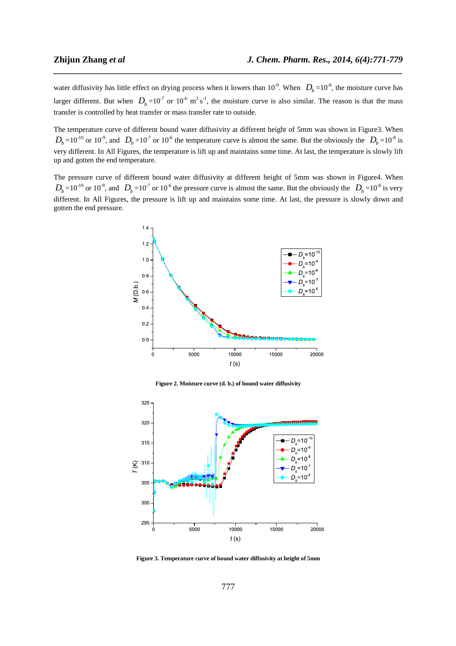water diffusivity has little effect on drying process when it lowers than  $10^{-9}$ . When  $D_b = 10^{-8}$ , the moisture curve has larger different. But when  $D_b = 10^{-7}$  or  $10^{-6}$  m<sup>2</sup> s<sup>-1</sup>, the moisture curve is also similar. The reason is that the mass transfer is controlled by heat transfer or mass transfer rate to outside.

*\_\_\_\_\_\_\_\_\_\_\_\_\_\_\_\_\_\_\_\_\_\_\_\_\_\_\_\_\_\_\_\_\_\_\_\_\_\_\_\_\_\_\_\_\_\_\_\_\_\_\_\_\_\_\_\_\_\_\_\_\_\_\_\_\_\_\_\_\_\_\_\_\_\_\_\_\_\_*

The temperature curve of different bound water diffusivity at different height of 5mm was shown in Figure3. When  $D_b = 10^{-10}$  or 10<sup>-9</sup>, and  $D_b = 10^{-7}$  or 10<sup>-6</sup> the temperature curve is almost the same. But the obviously the  $D_b = 10^{-8}$  is very different. In All Figures, the temperature is lift up and maintains some time. At last, the temperature is slowly lift up and gotten the end temperature.

The pressure curve of different bound water diffusivity at different height of 5mm was shown in Figure4. When  $D_b = 10^{-10}$  or  $10^{-9}$ , and  $D_b = 10^{-7}$  or  $10^{-6}$  the pressure curve is almost the same. But the obviously the  $D_b = 10^{-8}$  is very different. In All Figures, the pressure is lift up and maintains some time. At last, the pressure is slowly down and gotten the end pressure.



**Figure 2. Moisture curve (d. b.) of bound water diffusivity** 



**Figure 3. Temperature curve of bound water diffusivity at height of 5mm**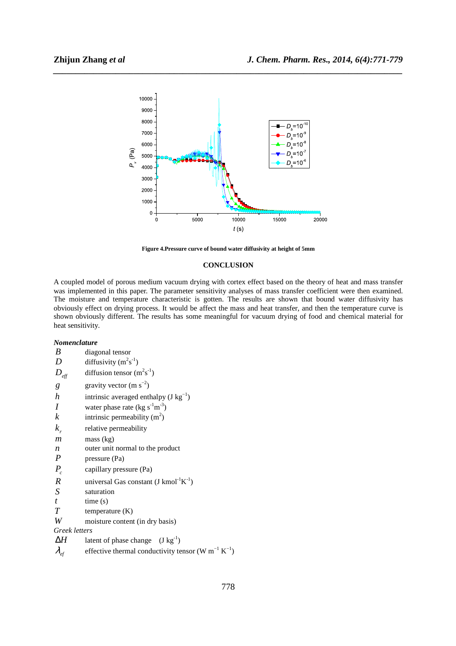

*\_\_\_\_\_\_\_\_\_\_\_\_\_\_\_\_\_\_\_\_\_\_\_\_\_\_\_\_\_\_\_\_\_\_\_\_\_\_\_\_\_\_\_\_\_\_\_\_\_\_\_\_\_\_\_\_\_\_\_\_\_\_\_\_\_\_\_\_\_\_\_\_\_\_\_\_\_\_*

**Figure 4.Pressure curve of bound water diffusivity at height of 5mm**

# **CONCLUSION**

A coupled model of porous medium vacuum drying with cortex effect based on the theory of heat and mass transfer was implemented in this paper. The parameter sensitivity analyses of mass transfer coefficient were then examined. The moisture and temperature characteristic is gotten. The results are shown that bound water diffusivity has obviously effect on drying process. It would be affect the mass and heat transfer, and then the temperature curve is shown obviously different. The results has some meaningful for vacuum drying of food and chemical material for heat sensitivity.

## *Nomenclature*

| B                                  | diagonal tensor                                                            |
|------------------------------------|----------------------------------------------------------------------------|
| D                                  | diffusivity $(m^2s^{-1})$                                                  |
| $D_{\mathit{eff}}$                 | diffusion tensor $(m^2s^{-1})$                                             |
| g                                  | gravity vector $(m s^{-2})$                                                |
| $\boldsymbol{h}$                   | intrinsic averaged enthalpy $(J kg^{-1})$                                  |
| I                                  | water phase rate (kg $s^{-1}m^{-3}$ )                                      |
| k                                  | intrinsic permeability $(m2)$                                              |
| $k_{r}$                            | relative permeability                                                      |
| $\mathfrak{m}$                     | mass (kg)                                                                  |
| n                                  | outer unit normal to the product                                           |
| $\boldsymbol{P}$                   | pressure (Pa)                                                              |
| $P_c$                              | capillary pressure (Pa)                                                    |
| $\boldsymbol{R}$                   | universal Gas constant $(J \text{ kmol}^{-1}K^{-1})$                       |
| S                                  | saturation                                                                 |
| $\mathfrak{t}$                     | time(s)                                                                    |
| $T\,$                              | temperature $(K)$                                                          |
| W                                  | moisture content (in dry basis)                                            |
| Greek letters                      |                                                                            |
| ΔΗ                                 | latent of phase change $(J kg^{-1})$                                       |
| $\lambda_{\scriptscriptstyle eff}$ | effective thermal conductivity tensor (W m <sup>-1</sup> K <sup>-1</sup> ) |